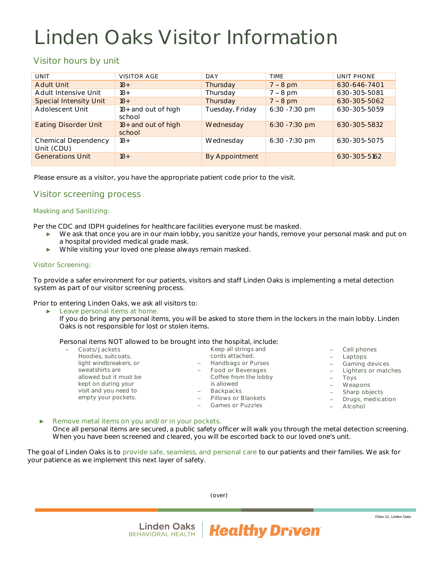# Linden Oaks Visitor Information

## Visitor hours by unit

| UNIT                              | <b>VISITOR AGE</b>            | DAY             | <b>TIMF</b>      | UNIT PHONE   |
|-----------------------------------|-------------------------------|-----------------|------------------|--------------|
| Adult Unit                        | $18+$                         | Thursday        | $7 - 8$ pm       | 630-646-7401 |
| Adult Intensive Unit              | $18+$                         | Thursday        | $7 - 8$ pm       | 630-305-5081 |
| <b>Special Intensity Unit</b>     | $18+$                         | Thursday        | $7 - 8$ pm       | 630-305-5062 |
| Adolescent Unit                   | 18+ and out of high<br>school | Tuesday, Friday | 6:30 - 7:30 pm   | 630-305-5059 |
| <b>Eating Disorder Unit</b>       | 18+ and out of high<br>school | Wednesday       | $6:30 - 7:30$ pm | 630-305-5832 |
| Chemical Dependency<br>Unit (CDU) | $18+$                         | Wednesday       | 6:30 - 7:30 pm   | 630-305-5075 |
| <b>Generations Unit</b>           | $18+$                         | By Appointment  |                  | 630-305-5162 |

Please ensure as a visitor, you have the appropriate patient code prior to the visit.

### Visitor screening process

#### Masking and Sanitizing:

Per the CDC and IDPH guidelines for healthcare facilities everyone must be masked.

- ► We ask that once you are in our main lobby, you sanitize your hands, remove your personal mask and put on a hospital provided medical grade mask.
- ► While visiting your loved one please always remain masked.

#### Visitor Screening:

To provide a safer environment for our patients, visitors and staff Linden Oaks is implementing a metal detection system as part of our visitor screening process.

Prior to entering Linden Oaks, we ask all visitors to:

► Leave personal items at home.

If you do bring any personal items, you will be asked to store them in the lockers in the main lobby. Linden Oaks is not responsible for lost or stolen items.

Personal items NOT allowed to be brought into the hospital, include:

| Coats/Jackets          | Keep all strings and                         | - Cell phones         |
|------------------------|----------------------------------------------|-----------------------|
| Hoodies, suitcoats,    | cords attached.                              | Laptops               |
| light windbreakers, or | Handbags or Purses<br>$\frac{1}{2}$          | <b>Gaming devices</b> |
| sweatshirts are        | Food or Beverages<br>$-$                     | - Lighters or matches |
| allowed but it must be | Coffee from the lobby                        | Tovs                  |
| kept on during your    | is allowed                                   | Weapons               |
| visit and you need to  | <b>Backpacks</b><br>$\overline{\phantom{m}}$ | Sharp objects         |
| empty your pockets.    | Pillows or Blankets                          | Drugs, medication     |
|                        | <b>Games or Puzzles</b>                      | Alcohol               |
|                        |                                              |                       |

Remove metal items on you and/or in your pockets. Once all personal items are secured, a public safety officer will walk you through the metal detection screening. When you have been screened and cleared, you will be escorted back to our loved one's unit.

The goal of Linden Oaks is to provide safe, seamless, and personal care to our patients and their families. We ask for your patience as we implement this next layer of safety.

(over)